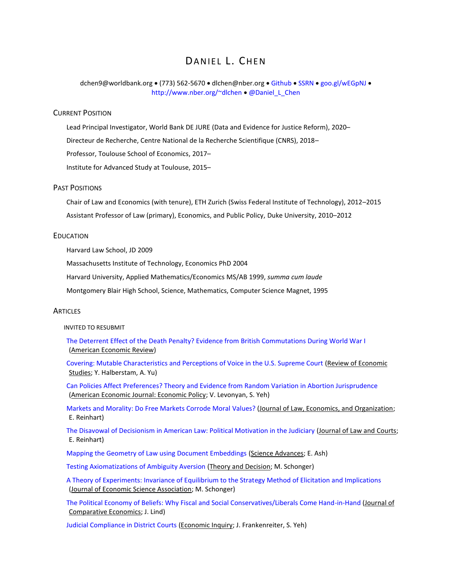# DANIFI L. CHEN

dchen9@worldbank.org • (773) 562-5670 • [dlchen@nber.org](mailto:daniel.li.chen@gmail.com) • [Github](/Volumes/Untitled/Dropbox%20(Daniel%20Chen)/1Documents/Docs/Github) • [SSRN](https://papers.ssrn.com/sol3/cf_dev/AbsByAuth.cfm?per_id=216012) • [goo.gl/wEGpNJ](http://goo.gl/wEGpNJ) • <http://www.nber.org/~dlchen> • [@Daniel\\_L\\_Chen](https://twitter.com/daniel_l_chen)

## CURRENT POSITION

Lead Principal Investigator, World Bank DE JURE (Data and Evidence for Justice Reform), 2020– Directeur de Recherche, Centre National de la Recherche Scientifique (CNRS), 2018– Professor, Toulouse School of Economics, 2017– Institute for Advanced Study at Toulouse, 2015–

# PAST POSITIONS

Chair of Law and Economics (with tenure), ETH Zurich (Swiss Federal Institute of Technology), 2012–2015 Assistant Professor of Law (primary), Economics, and Public Policy, Duke University, 2010–2012

# EDUCATION

Harvard Law School, JD 2009

Massachusetts Institute of Technology, Economics PhD 2004

Harvard University, Applied Mathematics/Economics MS/AB 1999, *summa cum laude*

Montgomery Blair High School, Science, Mathematics, Computer Science Magnet, 1995

#### **ARTICLES**

INVITED TO RESUBMIT

[The Deterrent Effect of the Death Penalty? Evidence from British Commutations During World War I](https://papers.ssrn.com/sol3/papers.cfm?abstract_id=2816255) (American Economic Review)

[Covering: Mutable Characteristics and Perceptions of Voice in the U.S. Supreme Court](https://ssrn.com/abstract=2816241) (Review of Economic Studies; Y. Halberstam, A. Yu)

[Can Policies Affect Preferences? Theory and Evidence from Random Variation in Abortion Jurisprudence](https://ssrn.com/abstract=2928175) (American Economic Journal: Economic Policy; V. Levonyan, S. Yeh)

[Markets and Morality: Do Free Markets Corrode Moral Values?](https://ssrn.com/abstract=2928143) (Journal of Law, Economics, and Organization; E. Reinhart)

[The Disavowal of Decisionism in American Law: Political Motivation in the Judiciary](http://nber.org/~dlchen/papers/Priming_Ideology_slides.pdf) (Journal of Law and Courts; E. Reinhart)

[Mapping the Geometry of Law using Document Embeddings](https://papers.ssrn.com/sol3/papers.cfm?abstract_id=3305761) (Science Advances; E. Ash)

[Testing Axiomatizations of Ambiguity Aversion](https://ideas.repec.org/p/tse/iastwp/31142.html) (Theory and Decision; M. Schonger)

[A Theory of Experiments: Invariance of Equilibrium to the Strategy Method of Elicitation and Implications](https://ssrn.com/abstract=2928121) (Journal of Economic Science Association; M. Schonger)

[The Political Economy of Beliefs: Why Fiscal and Social Conservatives/Liberals Come Hand-in-Hand](https://ssrn.com/abstract=2928766) (Journal of Comparative Economics; J. Lind)

[Judicial Compliance in District Courts](https://ssrn.com/abstract=2740594) (Economic Inquiry; J. Frankenreiter, S. Yeh)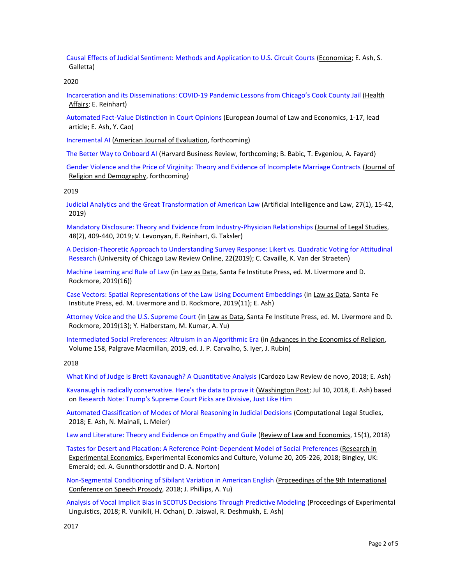[Causal Effects of Judicial Sentiment: Methods and Application to U.S. Circuit Courts](https://papers.ssrn.com/sol3/papers.cfm?abstract_id=3415393) (Economica; E. Ash, S. Galletta)

2020

[Incarceration and its Disseminations: COVID-19 Pandemic Lessons f](https://www.healthaffairs.org/doi/full/10.1377/hlthaff.2020.00652)rom Chicago's Cook County Jail (Health Affairs; E. Reinhart)

[Automated Fact-Value Distinction in Court Opinions](https://papers.ssrn.com/sol3/papers.cfm?abstract_id=3202438) (European Journal of Law and Economics, 1-17, lead article; E. Ash, Y. Cao)

[Incremental AI](http://nber.org/~dlchen/papers/Incremental_AI.pdf) (American Journal of Evaluation, forthcoming)

[The Better Way to Onboard AI](http://nber.org/~dlchen/papers/The_Better_Way_to_Onboard_AI.pdf) (Harvard Business Review, forthcoming; B. Babic, T. Evgeniou, A. Fayard)

[Gender Violence and the Price of Virginity: Theory and Evidence of Incomplete Marriage Contracts](http://nber.org/~dlchen/papers/Gender_Violence_and_the_Price_of_Virginity.pdf) (Journal of Religion and Demography, forthcoming)

2019

[Judicial Analytics and the Great Transformation of American Law](https://papers.ssrn.com/sol3/papers.cfm?abstract_id=3306071) (Artificial Intelligence and Law, 27(1), 15-42, 2019)

[Mandatory Disclosure: Theory and Evidence from Industry-Physician Relationships](https://ssrn.com/abstract=2740559) (Journal of Legal Studies, 48(2), 409-440, 2019; V. Levonyan, E. Reinhart, G. Taksler)

[A Decision-Theoretic Approach to Understanding Survey Response: Likert vs. Quadratic Voting for Attitudinal](https://papers.ssrn.com/sol3/papers.cfm?abstract_id=3307327)  [Research](https://papers.ssrn.com/sol3/papers.cfm?abstract_id=3307327) (University of Chicago Law Review Online, 22(2019); C. Cavaille, K. Van der Straeten)

[Machine Learning and Rule of Law](https://papers.ssrn.com/sol3/papers.cfm?abstract_id=3302507) (in Law as Data, Santa Fe Institute Press, ed. M. Livermore and D. Rockmore, 2019(16))

[Case Vectors: Spatial Representations of the Law Using Document Embeddings \(](https://papers.ssrn.com/sol3/papers.cfm?abstract_id=3204926)in Law as Data, Santa Fe Institute Press, ed. M. Livermore and D. Rockmore, 2019(11); E. Ash)

[Attorney Voice and the U.S. Supreme Court](https://papers.ssrn.com/sol3/papers.cfm?abstract_id=3241596) (in Law as Data, Santa Fe Institute Press, ed. M. Livermore and D. Rockmore, 2019(13); Y. Halberstam, M. Kumar, A. Yu)

[Intermediated Social Preferences: Altruism in an Algorithmic Era](http://ssrn.com/abstract=3134593) (in Advances in the Economics of Religion, Volume 158, Palgrave Macmillan, 2019, ed. J. P. Carvalho, S. Iyer, J. Rubin)

#### 2018

[What Kind of Judge is Brett Kavanaugh? A Quantitative Analysis](https://papers.ssrn.com/sol3/papers.cfm?abstract_id=3307754) (Cardozo Law Review de novo, 2018; E. Ash)

[Kavanaugh is radically conservative. Here's the data to prove it](https://www.washingtonpost.com/news/posteverything/wp/2018/07/10/kavanaugh-is-radically-conservative-heres-the-data-to-prove-it/) (Washington Post; Jul 10, 2018, E. Ash) based on [Research Note: Trump's Supreme Court Picks are Divisive, Just Like Him](https://docs.google.com/document/d/13f3K_K_fHqgB1p-S9wZCAMjFDUcEuOWoeTG9uw_Uw4I/edit#heading=h.po448jasfo2e)

[Automated Classification of Modes of Moral Reasoning in Judicial Decisions](http://ssrn.com/abstract=3205286) (Computational Legal Studies, 2018; E. Ash, N. Mainali, L. Meier)

[Law and Literature: Theory and Evidence on Empathy and Guile](https://ssrn.com/abstract=2977148) (Review of Law and Economics, 15(1), 2018)

[Tastes for Desert and Placation: A Reference Point-Dependent Model of Social Preferences](https://ssrn.com/abstract=2977145) (Research in Experimental Economics, Experimental Economics and Culture, Volume 20, 205-226, 2018; Bingley, UK: Emerald; ed. A. Gunnthorsdottir and D. A. Norton)

[Non-Segmental Conditioning of Sibilant Variation in American English](http://users.nber.org/~dlchen/papers/Non-Segmental_Conditioning_of_Sibilant_Variation_in_American_English.pdf) (Proceedings of the 9th International Conference on Speech Prosody, 2018; J. Phillips, A. Yu)

[Analysis of Vocal Implicit Bias in SCOTUS Decisions Through Predictive Modeling](https://papers.ssrn.com/sol3/papers.cfm?abstract_id=3307296) (Proceedings of Experimental Linguistics, 2018; R. Vunikili, H. Ochani, D. Jaiswal, R. Deshmukh, E. Ash)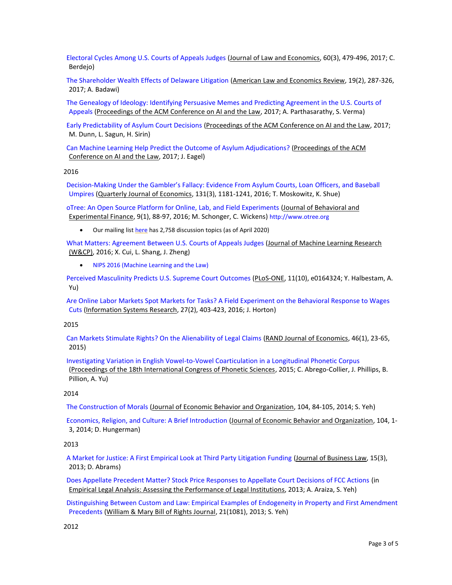[Electoral Cycles Among U.S. Courts of Appeals Judges](https://ssrn.com/abstract=2928201) (Journal of Law and Economics, 60(3), 479-496, 2017; C. Berdejo)

[The Shareholder Wealth Effects of Delaware Litigation](https://ssrn.com/abstract=2108357) (American Law and Economics Review, 19(2), 287-326, 2017; A. Badawi)

The Genealogy of Ideology: [Identifying Persuasive Memes and Predicting Agreement in the U.S. Courts of](https://ssrn.com/abstract=2816707)  [Appeals](https://ssrn.com/abstract=2816707) (Proceedings of the ACM Conference on AI and the Law, 2017; A. Parthasarathy, S. Verma)

[Early Predictability of Asylum Court Decisions](https://ssrn.com/abstract=2816191) (Proceedings of the ACM Conference on AI and the Law, 2017; M. Dunn, L. Sagun, H. Sirin)

[Can Machine Learning Help Predict the Outcome of Asylum Adjudications?](https://ssrn.com/abstract=2815876) (Proceedings of the ACM Conference on AI and the Law, 2017; J. Eagel)

#### 2016

Decision-[Making Under the Gambler's Fallacy: Evidence From Asylum Courts, Loan](https://ssrn.com/abstract=2739552) Officers, and Baseball [Umpires](https://ssrn.com/abstract=2739552) (Quarterly Journal of Economics, 131(3), 1181-1241, 2016; T. Moskowitz, K. Shue)

[oTree: An Open Source Platform for Online, Lab, and Field Experiments](https://ssrn.com/abstract=2806713) (Journal of Behavioral and Experimental Finance, 9(1), 88-97, 2016; M. Schonger, C. Wickens) [http://www.otree.org](http://www.otree.org/)

• Our mailing lis[t here](https://groups.google.com/forum/#%21forum/otree) has 2,758 discussion topics (as of April 2020)

[What Matters: Agreement Between U.S. Courts of Appeals Judges](https://ssrn.com/abstract=2928118) (Journal of Machine Learning Research (W&CP), 2016; X. Cui, L. Shang, J. Zheng)

• [NIPS 2016 \(Machine Learning and the Law\)](http://www.mlandthelaw.org/)

[Perceived Masculinity Predicts U.S. Supreme Court Outcomes](https://ssrn.com/abstract=2816252) (PLoS-ONE, 11(10), e0164324; Y. Halbestam, A. Yu)

[Are Online Labor Markets Spot Markets for Tasks? A Field Experiment on the Behavioral Response to Wages](https://ssrn.com/abstract=2975674)  [Cuts](https://ssrn.com/abstract=2975674) (Information Systems Research, 27(2), 403-423, 2016; J. Horton)

# 2015

[Can Markets Stimulate Rights? On the Alienability of Legal Claims](https://ssrn.com/abstract=2801084) (RAND Journal of Economics, 46(1), 23-65, 2015)

[Investigating Variation in English Vowel-to-Vowel Coarticulation in a Longitudinal Phonetic Corpus](https://ssrn.com/abstract=2975701) (Proceedings of the 18th International Congress of Phonetic Sciences, 2015; C. Abrego-Collier, J. Phillips, B. Pillion, A. Yu)

# 2014

[The Construction of Morals](https://ssrn.com/abstract=2351451) (Journal of Economic Behavior and Organization, 104, 84-105, 2014; S. Yeh)

[Economics, Religion, and Culture: A Brief Introduction](https://ssrn.com/abstract=2975709) (Journal of Economic Behavior and Organization, 104, 1- 3, 2014; D. Hungerman)

#### 2013

[A Market for Justice: A First Empirical Look at Third Party Litigation Funding](https://papers.ssrn.com/sol3/papers.cfm?abstract_id=2404483) (Journal of Business Law, 15(3), 2013; D. Abrams)

[Does Appellate Precedent Matter? Stock Price Responses to Appellate Court Decisions of FCC Actions](https://ssrn.com/abstract=1884413) (in Empirical Legal Analysis: Assessing the Performance of Legal Institutions, 2013; A. Araiza, S. Yeh)

[Distinguishing Between Custom and Law: Empirical Examples of Endogeneity in Property and First Amendment](https://ssrn.com/abstract=2975712)  [Precedents](https://ssrn.com/abstract=2975712) (William & Mary Bill of Rights Journal, 21(1081), 2013; S. Yeh)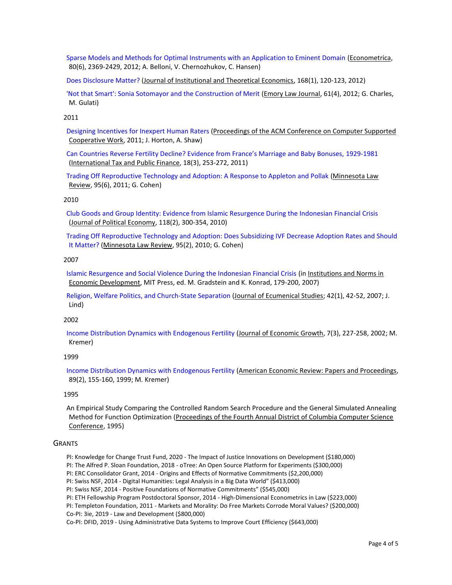[Sparse Models and Methods for Optimal Instruments with an Application to Eminent Domain](https://ssrn.com/abstract=2975719) (Econometrica, 80(6), 2369-2429, 2012; A. Belloni, V. Chernozhukov, C. Hansen)

[Does Disclosure Matter?](http://www.ingentaconnect.com/contentone/mohr/jite/2012/00000168/00000001/art00012;jsessionid=3f9x311fjawm8.x-ic-live-03) (Journal of Institutional and Theoretical Economics, 168(1), 120-123, 2012)

['Not that Smart': Sonia Sotomayor and the Construction of Merit](https://ssrn.com/abstract=1907724) (Emory Law Journal, 61(4), 2012; G. Charles, M. Gulati)

# 2011

[Designing Incentives for Inexpert](https://ssrn.com/abstract=1871330) Human Raters (Proceedings of the ACM Conference on Computer Supported Cooperative Work, 2011; J. Horton, A. Shaw)

[Can Countries Reverse Fertility Decline? Evidence from France's Marriage and Baby Bonuses,](https://ssrn.com/abstract=2975797) 1929-1981 (International Tax and Public Finance, 18(3), 253-272, 2011)

[Trading Off Reproductive Technology and Adoption: A Response to Appleton and Pollak](https://ssrn.com/abstract=2090021) (Minnesota Law Review, 95(6), 2011; G. Cohen)

# 2010

[Club Goods and Group Identity: Evidence from Islamic Resurgence During the Indonesian Financial Crisis](https://ssrn.com/abstract=2975803) (Journal of Political Economy, 118(2), 300-354, 2010)

[Trading Off Reproductive Technology and Adoption: Does Subsidizing IVF Decrease Adoption Rates and Should](https://papers.ssrn.com/sol3/papers.cfm?abstract_id=1664501)  [It Matter?](https://papers.ssrn.com/sol3/papers.cfm?abstract_id=1664501) (Minnesota Law Review, 95(2), 2010; G. Cohen)

# 2007

[Islamic Resurgence and Social Violence During the Indonesian Financial Crisis](https://ssrn.com/abstract=2975842) (in Institutions and Norms in Economic Development, MIT Press, ed. M. Gradstein and K. Konrad, 179-200, 2007)

[Religion, Welfare Politics, and Church-State Separation](https://ssrn.com/abstract=2975839) (Journal of Ecumenical Studies; 42(1), 42-52, 2007; J. Lind)

#### 2002

[Income Distribution Dynamics with Endogenous Fertility](https://ssrn.com/abstract=216011) (Journal of Economic Growth, 7(3), 227-258, 2002; M. Kremer)

#### 1999

[Income Distribution Dynamics with Endogenous Fertility](https://ssrn.com/abstract=216011) (American Economic Review: Papers and Proceedings, 89(2), 155-160, 1999; M. Kremer)

# 1995

An Empirical Study Comparing the Controlled Random Search Procedure and the General Simulated Annealing Method for Function Optimization (Proceedings of the Fourth Annual District of Columbia Computer Science Conference, 1995)

# **GRANTS**

- PI: Knowledge for Change Trust Fund, 2020 The Impact of Justice Innovations on Development (\$180,000)
- PI: The Alfred P. Sloan Foundation, 2018 oTree: An Open Source Platform for Experiments (\$300,000)
- PI: ERC Consolidator Grant, 2014 Origins and Effects of Normative Commitments (\$2,200,000)
- PI: Swiss NSF, 2014 Digital Humanities: Legal Analysis in a Big Data World" (\$413,000)
- PI: Swiss NSF, 2014 Positive Foundations of Normative Commitments" (\$545,000)

PI: ETH Fellowship Program Postdoctoral Sponsor, 2014 - High-Dimensional Econometrics in Law (\$223,000)

PI: Templeton Foundation, 2011 - Markets and Morality: Do Free Markets Corrode Moral Values? (\$200,000)

Co-PI: 3ie, 2019 - Law and Development (\$800,000)

Co-PI: DFID, 2019 - Using Administrative Data Systems to Improve Court Efficiency (\$643,000)